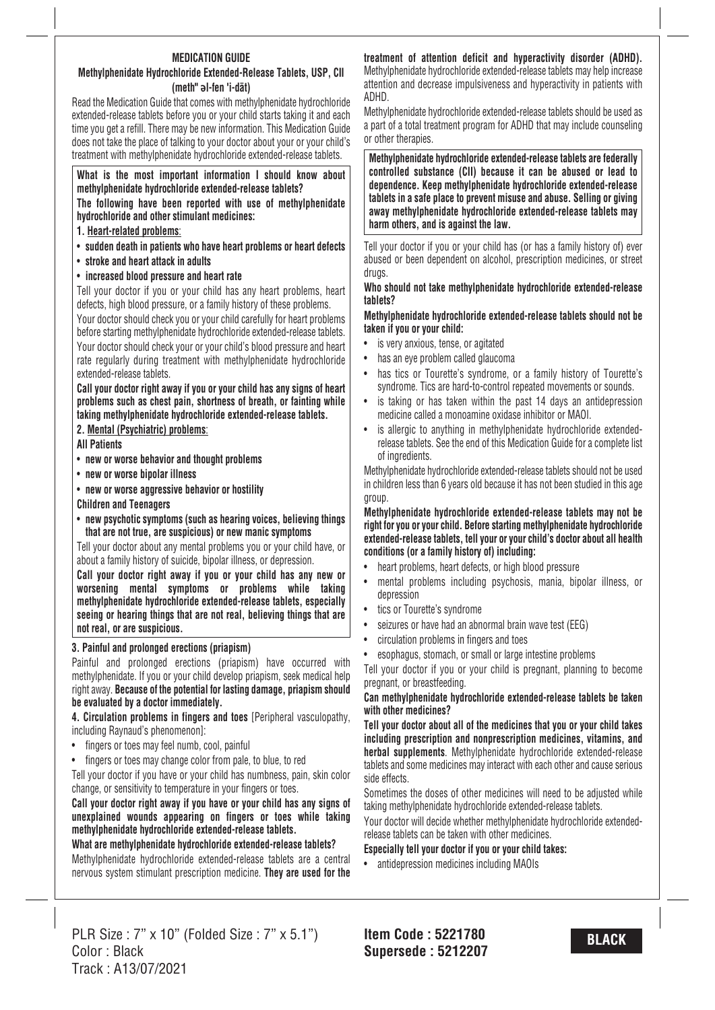#### **MEDICATION GUIDE Methylphenidate Hydrochloride Extended-Release Tablets, USP, CII (meth" ǝl-fen 'i-dāt)**

Read the Medication Guide that comes with methylphenidate hydrochloride extended-release tablets before you or your child starts taking it and each time you get a refill. There may be new information. This Medication Guide does not take the place of talking to your doctor about your or your child's treatment with methylphenidate hydrochloride extended-release tablets.

#### **What is the most important information I should know about methylphenidate hydrochloride extended-release tablets?**

**The following have been reported with use of methylphenidate hydrochloride and other stimulant medicines:**

#### **1. Heart-related problems**:

- **sudden death in patients who have heart problems or heart defects**
- **stroke and heart attack in adults**
- **increased blood pressure and heart rate**

Tell your doctor if you or your child has any heart problems, heart defects, high blood pressure, or a family history of these problems.

Your doctor should check you or your child carefully for heart problems before starting methylphenidate hydrochloride extended-release tablets.

Your doctor should check your or your child's blood pressure and heart rate regularly during treatment with methylphenidate hydrochloride extended-release tablets.

**Call your doctor right away if you or your child has any signs of heart problems such as chest pain, shortness of breath, or fainting while taking methylphenidate hydrochloride extended-release tablets.**

### **2. Mental (Psychiatric) problems**:

**All Patients**

- **new or worse behavior and thought problems**
- **new or worse bipolar illness**
- **new or worse aggressive behavior or hostility**

#### **Children and Teenagers**

• **new psychotic symptoms (such as hearing voices, believing things that are not true, are suspicious) or new manic symptoms**

Tell your doctor about any mental problems you or your child have, or about a family history of suicide, bipolar illness, or depression.

**Call your doctor right away if you or your child has any new or worsening mental symptoms or problems while taking methylphenidate hydrochloride extended-release tablets, especially seeing or hearing things that are not real, believing things that are not real, or are suspicious.**

### **3. Painful and prolonged erections (priapism)**

Painful and prolonged erections (priapism) have occurred with methylphenidate. If you or your child develop priapism, seek medical help right away. **Because of the potential for lasting damage, priapism should be evaluated by a doctor immediately.**

**4. Circulation problems in fingers and toes** [Peripheral vasculopathy, including Raynaud's phenomenon]:

- fingers or toes may feel numb, cool, painful
- fingers or toes may change color from pale, to blue, to red

Tell your doctor if you have or your child has numbness, pain, skin color change, or sensitivity to temperature in your fingers or toes.

### **Call your doctor right away if you have or your child has any signs of unexplained wounds appearing on fingers or toes while taking methylphenidate hydrochloride extended-release tablets.**

# **What are methylphenidate hydrochloride extended-release tablets?**

Methylphenidate hydrochloride extended-release tablets are a central nervous system stimulant prescription medicine. **They are used for the**

# **treatment of attention deficit and hyperactivity disorder (ADHD).**

Methylphenidate hydrochloride extended-release tablets may help increase attention and decrease impulsiveness and hyperactivity in patients with ADHD.

Methylphenidate hydrochloride extended-release tablets should be used as a part of a total treatment program for ADHD that may include counseling or other therapies.

**Methylphenidate hydrochloride extended-release tablets are federally controlled substance (CII) because it can be abused or lead to dependence. Keep methylphenidate hydrochloride extended-release tablets in a safe place to prevent misuse and abuse. Selling or giving away methylphenidate hydrochloride extended-release tablets may harm others, and is against the law.**

Tell your doctor if you or your child has (or has a family history of) ever abused or been dependent on alcohol, prescription medicines, or street drugs.

#### **Who should not take methylphenidate hydrochloride extended-release tablets?**

#### **Methylphenidate hydrochloride extended-release tablets should not be taken if you or your child:**

- is very anxious, tense, or agitated
- has an eve problem called glaucoma
- has tics or Tourette's syndrome, or a family history of Tourette's syndrome. Tics are hard-to-control repeated movements or sounds.
- is taking or has taken within the past 14 days an antidepression medicine called a monoamine oxidase inhibitor or MAOI.
- is allergic to anything in methylphenidate hydrochloride extendedrelease tablets. See the end of this Medication Guide for a complete list of ingredients.

Methylphenidate hydrochloride extended-release tablets should not be used in children less than 6 years old because it has not been studied in this age group.

**Methylphenidate hydrochloride extended-release tablets may not be right for you or your child. Before starting methylphenidate hydrochloride extended-release tablets, tell your or your child's doctor about all health conditions (or a family history of) including:**

- heart problems, heart defects, or high blood pressure
- mental problems including psychosis, mania, bipolar illness, or depression
- tics or Tourette's syndrome
- seizures or have had an abnormal brain wave test (EEG)
- circulation problems in fingers and toes
- esophagus, stomach, or small or large intestine problems

Tell your doctor if you or your child is pregnant, planning to become pregnant, or breastfeeding.

#### **Can methylphenidate hydrochloride extended-release tablets be taken with other medicines?**

**Tell your doctor about all of the medicines that you or your child takes including prescription and nonprescription medicines, vitamins, and herbal supplements**. Methylphenidate hydrochloride extended-release tablets and some medicines may interact with each other and cause serious side effects.

Sometimes the doses of other medicines will need to be adjusted while taking methylphenidate hydrochloride extended-release tablets.

Your doctor will decide whether methylphenidate hydrochloride extendedrelease tablets can be taken with other medicines.

## **Especially tell your doctor if you or your child takes:**

• antidepression medicines including MAOIs